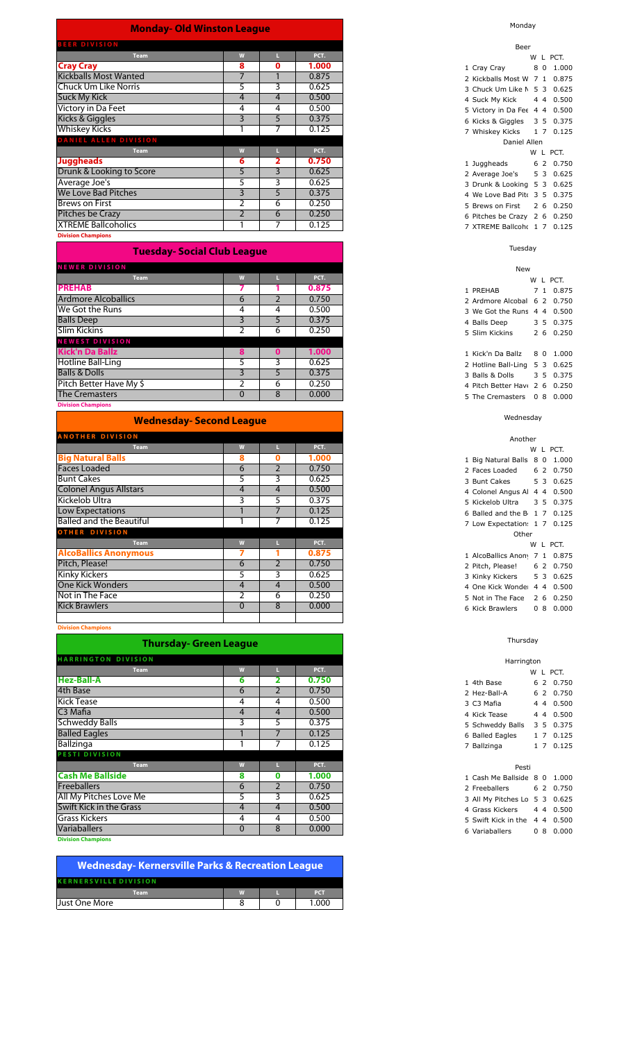| <b>Monday- Old Winston League</b>                                                                                                                                                                                                                                                                                                                                                    |                |                |                |
|--------------------------------------------------------------------------------------------------------------------------------------------------------------------------------------------------------------------------------------------------------------------------------------------------------------------------------------------------------------------------------------|----------------|----------------|----------------|
| <b>BEER DIVISION</b>                                                                                                                                                                                                                                                                                                                                                                 |                |                |                |
| <b>Team</b>                                                                                                                                                                                                                                                                                                                                                                          | W              | п.             | PCT.           |
| <b>Cray Cray</b>                                                                                                                                                                                                                                                                                                                                                                     | 8              | O              | 1.000          |
| <b>Kickballs Most Wanted</b>                                                                                                                                                                                                                                                                                                                                                         | $\overline{7}$ | $\mathbf{1}$   | 0.875          |
| <b>Chuck Um Like Norris</b>                                                                                                                                                                                                                                                                                                                                                          | 5              | 3              | 0.625          |
| <b>Suck My Kick</b>                                                                                                                                                                                                                                                                                                                                                                  | $\overline{4}$ | $\overline{4}$ | 0.500          |
| Victory in Da Feet                                                                                                                                                                                                                                                                                                                                                                   | 4              | 4              | 0.500          |
| Kicks & Giggles                                                                                                                                                                                                                                                                                                                                                                      | 3              | 5              | 0.375          |
| <b>Whiskey Kicks</b>                                                                                                                                                                                                                                                                                                                                                                 |                | 7              | 0.125          |
| <b>DANIEL ALLEN DIVISION</b>                                                                                                                                                                                                                                                                                                                                                         |                |                |                |
| <b>Team</b>                                                                                                                                                                                                                                                                                                                                                                          | W              | Ш              | PCT.           |
| <b>Juggheads</b>                                                                                                                                                                                                                                                                                                                                                                     | 6              | $\overline{2}$ | 0.750          |
| Drunk & Looking to Score                                                                                                                                                                                                                                                                                                                                                             | 5              | 3              | 0.625          |
| Average Joe's                                                                                                                                                                                                                                                                                                                                                                        | 5              | 3              | 0.625          |
| We Love Bad Pitches                                                                                                                                                                                                                                                                                                                                                                  | $\overline{3}$ | 5              | 0.375          |
| <b>Brews on First</b>                                                                                                                                                                                                                                                                                                                                                                | $\overline{2}$ | 6              | 0.250          |
| <b>Pitches be Crazy</b>                                                                                                                                                                                                                                                                                                                                                              | $\overline{2}$ | 6              | 0.250          |
| <b>XTREME Ballcoholics</b>                                                                                                                                                                                                                                                                                                                                                           |                | 7              | 0.125          |
| <b>Division Champions</b>                                                                                                                                                                                                                                                                                                                                                            |                |                |                |
| <b>Tuesday- Social Club League</b>                                                                                                                                                                                                                                                                                                                                                   |                |                |                |
| <b>NEWER DIVISION</b>                                                                                                                                                                                                                                                                                                                                                                |                |                |                |
| <b>Team</b>                                                                                                                                                                                                                                                                                                                                                                          | W              |                | PCT.           |
| <b>PREHAB</b>                                                                                                                                                                                                                                                                                                                                                                        | 7              |                | 0.875          |
| <b>Ardmore Alcoballics</b>                                                                                                                                                                                                                                                                                                                                                           | 6              | $\overline{2}$ | 0.750          |
| We Got the Runs                                                                                                                                                                                                                                                                                                                                                                      | 4              | 4              | 0.500          |
| <b>Balls Deep</b>                                                                                                                                                                                                                                                                                                                                                                    | $\overline{3}$ | 5              | 0.375          |
| $\overline{c}$ $\overline{c}$ $\overline{c}$ $\overline{c}$ $\overline{c}$ $\overline{c}$ $\overline{c}$ $\overline{c}$ $\overline{c}$ $\overline{c}$ $\overline{c}$ $\overline{c}$ $\overline{c}$ $\overline{c}$ $\overline{c}$ $\overline{c}$ $\overline{c}$ $\overline{c}$ $\overline{c}$ $\overline{c}$ $\overline{c}$ $\overline{c}$ $\overline{c}$ $\overline{c}$ $\overline{$ |                |                | $\overline{2}$ |

| Balls Deep               |  | 0.375 |
|--------------------------|--|-------|
| Slim Kickins             |  | 0.250 |
| <b>NEWEST DIVISION</b>   |  |       |
| Kick'n Da Ballz          |  | 1.000 |
| Hotline Ball-Ling        |  | 0.625 |
| <b>Balls &amp; Dolls</b> |  | 0.375 |
| Pitch Better Have My \$  |  | 0.250 |
| <b>The Cremasters</b>    |  | 0.000 |
|                          |  |       |

**Division Champions**

| <b>Wednesday- Second League</b> |                |                |       |
|---------------------------------|----------------|----------------|-------|
| <b>ANOTHER DIVISION</b>         |                |                |       |
| <b>Team</b>                     | W              |                | PCT.  |
| <b>Big Natural Balls</b>        | 8              | 0              | 1.000 |
| <b>Faces Loaded</b>             | 6              | $\overline{2}$ | 0.750 |
| <b>Bunt Cakes</b>               | 5.             | 3              | 0.625 |
| <b>Colonel Angus Allstars</b>   | 4              | 4              | 0.500 |
| Kickelob Ultra                  | 3              | 5              | 0.375 |
| Low Expectations                |                |                | 0.125 |
| <b>Balled and the Beautiful</b> |                |                | 0.125 |
| <b>OTHER DIVISION</b>           |                |                |       |
| <b>Team</b>                     | W              |                | PCT.  |
| <b>AlcoBallics Anonymous</b>    |                |                | 0.875 |
| Pitch, Please!                  | 6              | $\overline{2}$ | 0.750 |
| <b>Kinky Kickers</b>            | 5.             | 3              | 0.625 |
| <b>One Kick Wonders</b>         | $\overline{4}$ | 4              | 0.500 |
| Not in The Face                 | 2              | 6              | 0.250 |
| <b>Kick Brawlers</b>            | $\Omega$       | 8              | 0.000 |
|                                 |                |                |       |

**Division Champions**

|                            | <b>Thursday- Green League</b> |                |       |
|----------------------------|-------------------------------|----------------|-------|
| <b>HARRINGTON DIVISION</b> |                               |                |       |
| <b>Team</b>                | W                             |                | PCT.  |
| <b>Hez-Ball-A</b>          | 6                             | 2              | 0.750 |
| 4th Base                   | 6                             | $\overline{2}$ | 0.750 |
| <b>Kick Tease</b>          | 4                             | 4              | 0.500 |
| C <sub>3</sub> Mafia       | 4                             | $\overline{4}$ | 0.500 |
| <b>Schweddy Balls</b>      | 3                             | 5              | 0.375 |
| <b>Balled Eagles</b>       |                               | 7              | 0.125 |
| Ballzinga                  |                               | 7              | 0.125 |
| <b>PESTI DIVISION</b>      |                               |                |       |
| <b>Team</b>                | W                             | ш              | PCT.  |
| <b>Cash Me Ballside</b>    | 8                             | 0              | 1.000 |
| <b>Freeballers</b>         | 6                             | 2              | 0.750 |
| All My Pitches Love Me     | 5                             | 3              | 0.625 |
| Swift Kick in the Grass    | 4                             | 4              | 0.500 |
| <b>Grass Kickers</b>       | 4                             | 4              | 0.500 |
| <b>Variaballers</b>        | $\mathbf{0}$                  | 8              | 0.000 |
| <b>Division Champions</b>  |                               |                |       |

| <b>Wednesday-Kernersville Parks &amp; Recreation League</b> |   |  |            |  |  |  |  |  |
|-------------------------------------------------------------|---|--|------------|--|--|--|--|--|
| <b>KERNERSVILLE DIVISION</b>                                |   |  |            |  |  |  |  |  |
| <b>Team</b>                                                 | W |  | <b>PCT</b> |  |  |  |  |  |
| Just One More                                               |   |  | 1.000      |  |  |  |  |  |
|                                                             |   |  |            |  |  |  |  |  |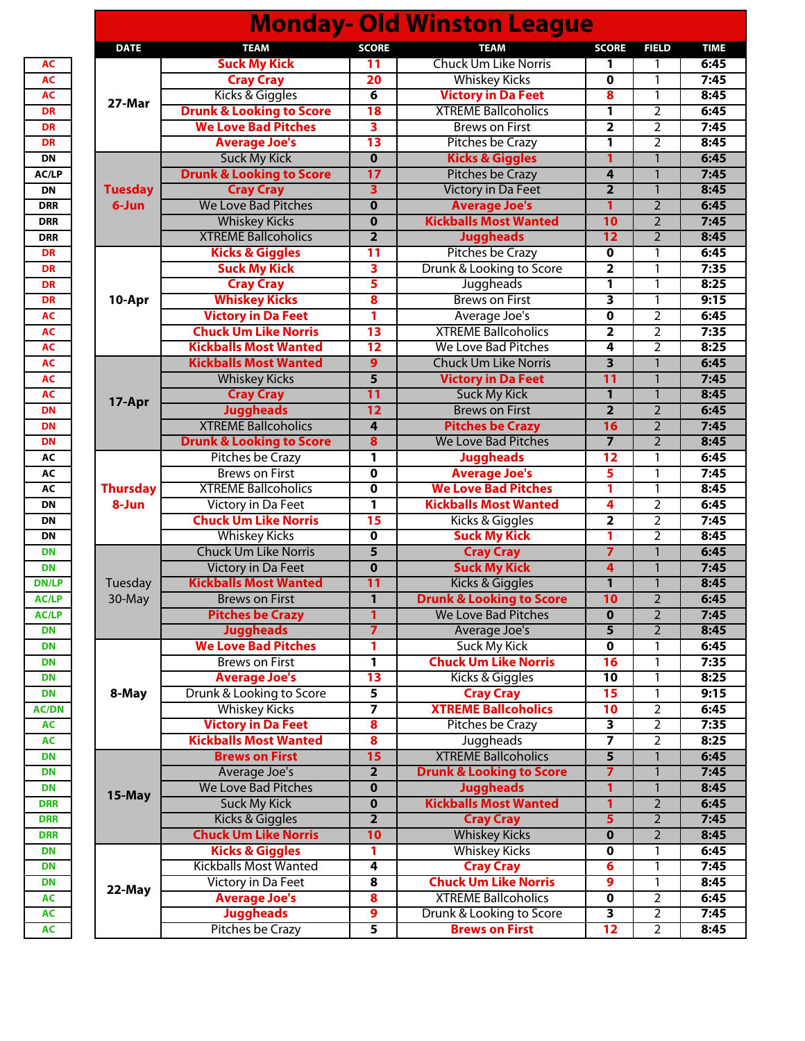|                 |                                     |                         | <b>Monday- Old Winston League</b>   |                         |                                          |             |
|-----------------|-------------------------------------|-------------------------|-------------------------------------|-------------------------|------------------------------------------|-------------|
| <b>DATE</b>     | <b>TEAM</b>                         | <b>SCORE</b>            | <b>TEAM</b>                         | <b>SCORE</b>            | <b>FIELD</b>                             | <b>TIME</b> |
|                 | <b>Suck My Kick</b>                 | 11                      | <b>Chuck Um Like Norris</b>         | 1                       | 1                                        | 6:45        |
| 27-Mar          | <b>Cray Cray</b>                    | 20                      | <b>Whiskey Kicks</b>                | $\mathbf 0$             | 1                                        | 7:45        |
|                 | Kicks & Giggles                     | $\overline{6}$          | <b>Victory in Da Feet</b>           | 8                       | 1                                        | 8:45        |
|                 | <b>Drunk &amp; Looking to Score</b> | 18                      | <b>XTREME Ballcoholics</b>          | 1                       | 2                                        | 6:45        |
|                 | <b>We Love Bad Pitches</b>          | $\overline{\mathbf{3}}$ | <b>Brews on First</b>               | 2                       | 2                                        | 7:45        |
|                 | <b>Average Joe's</b>                | $\overline{13}$         | Pitches be Crazy                    | $\overline{\mathbf{1}}$ | $\overline{2}$                           | 8:45        |
|                 | <b>Suck My Kick</b>                 | $\overline{\mathbf{0}}$ | <b>Kicks &amp; Giggles</b>          | $\mathbf{1}$            | $\mathbf{1}$                             | 6:45        |
|                 | <b>Drunk &amp; Looking to Score</b> | 17                      | <b>Pitches be Crazy</b>             | 4                       | $\mathbf{1}$                             | 7:45        |
| <b>Tuesday</b>  | <b>Cray Cray</b>                    | 3                       | <b>Victory in Da Feet</b>           | $\overline{\mathbf{2}}$ | $\mathbf{1}$                             | 8:45        |
| 6-Jun           | <b>We Love Bad Pitches</b>          | $\mathbf 0$             | <b>Average Joe's</b>                | 1                       | $\overline{2}$                           | 6:45        |
|                 | <b>Whiskey Kicks</b>                | $\mathbf 0$             | <b>Kickballs Most Wanted</b>        | 10                      | $\overline{2}$                           | 7:45        |
|                 | <b>XTREME Ballcoholics</b>          | $\overline{2}$          | <b>Juggheads</b>                    | 12                      | $\overline{2}$                           | 8:45        |
|                 | <b>Kicks &amp; Giggles</b>          | 11                      | <b>Pitches be Crazy</b>             | $\mathbf 0$             | 1                                        | 6:45        |
|                 | <b>Suck My Kick</b>                 | $\overline{\mathbf{3}}$ | Drunk & Looking to Score            | 2                       | 1                                        | 7:35        |
|                 | <b>Cray Cray</b>                    | $\overline{\mathbf{5}}$ | Juggheads                           | 1                       | 1                                        | 8:25        |
| 10-Apr          | <b>Whiskey Kicks</b>                | 8                       | <b>Brews on First</b>               | 3                       | 1                                        | 9:15        |
|                 | <b>Victory in Da Feet</b>           | 1                       | Average Joe's                       | 0                       | 2                                        | 6:45        |
|                 | <b>Chuck Um Like Norris</b>         | $\overline{13}$         | <b>XTREME Ballcoholics</b>          | $\overline{\mathbf{2}}$ | $\overline{2}$                           | 7:35        |
|                 | <b>Kickballs Most Wanted</b>        | $\overline{12}$         | <b>We Love Bad Pitches</b>          | 4                       | 2                                        | 8:25        |
|                 | <b>Kickballs Most Wanted</b>        | 9                       | <b>Chuck Um Like Norris</b>         | $\overline{\mathbf{3}}$ | 1                                        | 6:45        |
|                 | <b>Whiskey Kicks</b>                | $\overline{\mathbf{5}}$ | <b>Victory in Da Feet</b>           | $\overline{11}$         | $\mathbf{1}$                             | 7:45        |
|                 | <b>Cray Cray</b>                    | 11                      | <b>Suck My Kick</b>                 | $\mathbf{1}$            | $\mathbf{1}$                             | 8:45        |
| 17-Apr          | <b>Juggheads</b>                    | 12                      | <b>Brews on First</b>               | $\overline{\mathbf{2}}$ | $\overline{2}$                           | 6:45        |
|                 | <b>XTREME Ballcoholics</b>          | $\overline{4}$          | <b>Pitches be Crazy</b>             | 16                      | $\overline{2}$                           | 7:45        |
|                 | <b>Drunk &amp; Looking to Score</b> | $\overline{\mathbf{8}}$ | <b>We Love Bad Pitches</b>          | $\overline{\mathbf{z}}$ | $\overline{2}$                           | 8:45        |
|                 | <b>Pitches be Crazy</b>             | 1                       | <b>Juggheads</b>                    | 12                      | 1                                        | 6:45        |
|                 | <b>Brews on First</b>               | $\mathbf 0$             | <b>Average Joe's</b>                | 5                       | 1                                        | 7:45        |
| <b>Thursday</b> | <b>XTREME Ballcoholics</b>          | $\mathbf 0$             | <b>We Love Bad Pitches</b>          | 1                       | 1                                        | 8:45        |
| 8-Jun           | Victory in Da Feet                  | 1                       | <b>Kickballs Most Wanted</b>        | 4                       | 2                                        | 6:45        |
|                 | <b>Chuck Um Like Norris</b>         | 15                      | Kicks & Giggles                     | 2                       | 2                                        | 7:45        |
|                 | <b>Whiskey Kicks</b>                | $\overline{0}$          | <b>Suck My Kick</b>                 | 1                       | 2                                        | 8:45        |
|                 | <b>Chuck Um Like Norris</b>         | 5                       | <b>Cray Cray</b>                    | 7                       | $\mathbf{1}$                             | 6:45        |
|                 | <b>Victory in Da Feet</b>           | $\bf{0}$                | <b>Suck My Kick</b>                 | 4                       | $\mathbf{1}$                             | 7:45        |
|                 | <b>Kickballs Most Wanted</b>        |                         |                                     |                         |                                          | 8:45        |
| Tuesday         |                                     | 11<br>$\overline{1}$    | Kicks & Giggles                     | 1                       | $\mathbf{1}$<br>$\overline{\phantom{a}}$ |             |
| 30-May          | <b>Brews on First</b>               |                         | <b>Drunk &amp; Looking to Score</b> | 10                      |                                          | 6:45        |
|                 | <b>Pitches be Crazy</b>             | 1                       | We Love Bad Pitches                 | $\bf{0}$                | 2                                        | 7:45        |
|                 | <b>Juggheads</b>                    | $\overline{\mathbf{z}}$ | Average Joe's                       | 5                       | 2                                        | 8:45        |
|                 | <b>We Love Bad Pitches</b>          | 1                       | <b>Suck My Kick</b>                 | $\mathbf 0$             | 1                                        | 6:45        |
|                 | <b>Brews on First</b>               | 1                       | <b>Chuck Um Like Norris</b>         | 16                      | 1                                        | 7:35        |
|                 | <b>Average Joe's</b>                | 13                      | Kicks & Giggles                     | 10                      | 1                                        | 8:25        |
| 8-May           | Drunk & Looking to Score            | $\overline{\mathbf{5}}$ | <b>Cray Cray</b>                    | 15                      | 1                                        | 9:15        |
|                 | <b>Whiskey Kicks</b>                | 7                       | <b>XTREME Ballcoholics</b>          | 10                      | 2                                        | 6:45        |
|                 | <b>Victory in Da Feet</b>           | $\overline{\mathbf{8}}$ | Pitches be Crazy                    | 3                       | 2                                        | 7:35        |
|                 | <b>Kickballs Most Wanted</b>        | $\overline{\mathbf{8}}$ | Juggheads                           | 7                       | 2                                        | 8:25        |
|                 | <b>Brews on First</b>               | 15                      | <b>XTREME Ballcoholics</b>          | 5                       | 1                                        | 6:45        |
|                 | Average Joe's                       | $\overline{2}$          | <b>Drunk &amp; Looking to Score</b> | 7                       | $\mathbf{1}$                             | 7:45        |
| 15-May          | We Love Bad Pitches                 | $\mathbf 0$             | <b>Juggheads</b>                    | 1                       | 1                                        | 8:45        |
|                 | <b>Suck My Kick</b>                 | $\overline{\mathbf{0}}$ | <b>Kickballs Most Wanted</b>        | 1                       | 2                                        | 6:45        |
|                 | <b>Kicks &amp; Giggles</b>          | $\overline{2}$          | <b>Cray Cray</b>                    | 5                       | 2                                        | 7:45        |
|                 | <b>Chuck Um Like Norris</b>         | 10                      | <b>Whiskey Kicks</b>                | $\mathbf 0$             | 2                                        | 8:45        |
|                 | <b>Kicks &amp; Giggles</b>          | 1                       | <b>Whiskey Kicks</b>                | $\mathbf 0$             | 1                                        | 6:45        |
|                 | <b>Kickballs Most Wanted</b>        | 4                       | <b>Cray Cray</b>                    | 6                       | 1                                        | 7:45        |
|                 | Victory in Da Feet                  | $\overline{\mathbf{8}}$ | <b>Chuck Um Like Norris</b>         | 9                       | 1                                        | 8:45        |
| 22-May          | <b>Average Joe's</b>                | $\overline{\mathbf{8}}$ | <b>XTREME Ballcoholics</b>          | $\overline{\mathbf{0}}$ | 2                                        | 6:45        |
|                 | <b>Juggheads</b>                    | $\overline{9}$          | Drunk & Looking to Score            | 3                       | 2                                        | 7:45        |
|                 | <b>Pitches be Crazy</b>             | 5                       | <b>Brews on First</b>               | $\overline{12}$         | 2                                        | 8:45        |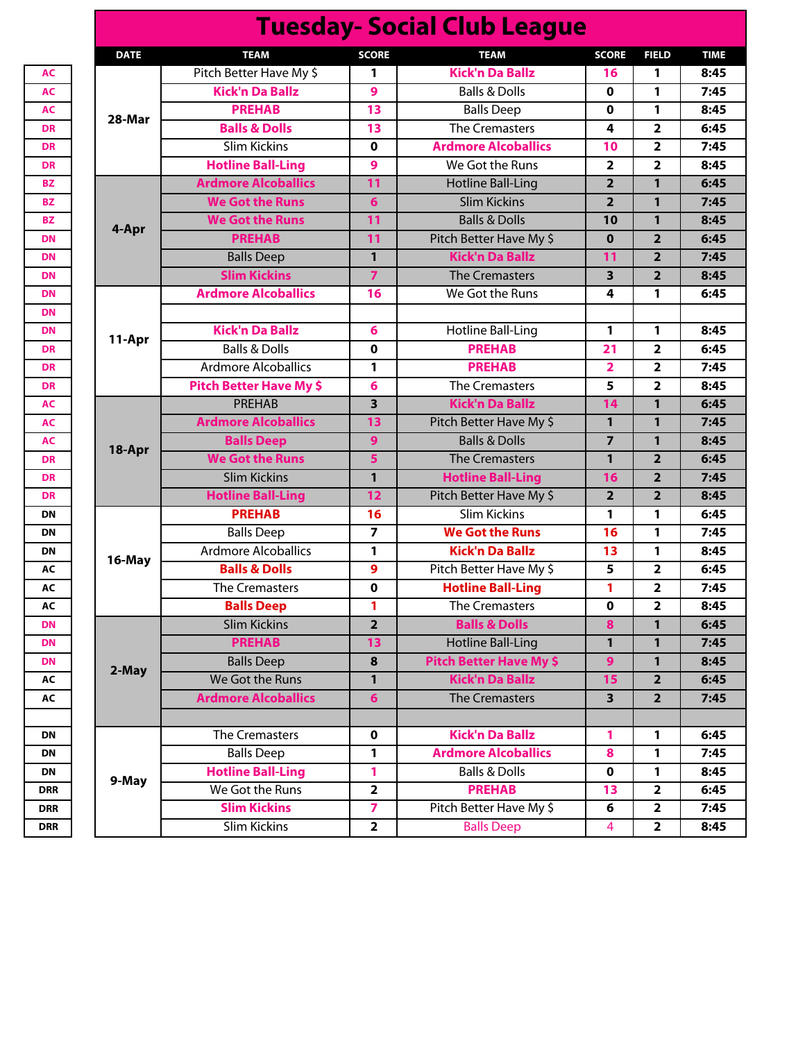| <u> Tuesuay- Social Club League</u> |                                |                         |                                |                         |                         |             |  |  |
|-------------------------------------|--------------------------------|-------------------------|--------------------------------|-------------------------|-------------------------|-------------|--|--|
| <b>DATE</b>                         | <b>TEAM</b>                    | <b>SCORE</b>            | <b>TEAM</b>                    | <b>SCORE</b>            | <b>FIELD</b>            | <b>TIME</b> |  |  |
| 28-Mar                              | Pitch Better Have My \$        | 1                       | <b>Kick'n Da Ballz</b>         | 16                      | 1                       | 8:45        |  |  |
|                                     | <b>Kick'n Da Ballz</b>         | 9                       | <b>Balls &amp; Dolls</b>       | 0                       | 1                       | 7:45        |  |  |
|                                     | <b>PREHAB</b>                  | 13                      | <b>Balls Deep</b>              | $\mathbf 0$             | 1                       | 8:45        |  |  |
|                                     | <b>Balls &amp; Dolls</b>       | 13                      | <b>The Cremasters</b>          | 4                       | $\overline{\mathbf{2}}$ | 6:45        |  |  |
|                                     | <b>Slim Kickins</b>            | 0                       | <b>Ardmore Alcoballics</b>     | 10                      | $\overline{\mathbf{2}}$ | 7:45        |  |  |
|                                     | <b>Hotline Ball-Ling</b>       | 9                       | We Got the Runs                | $\overline{2}$          | $\overline{2}$          | 8:45        |  |  |
|                                     | <b>Ardmore Alcoballics</b>     | 11                      | <b>Hotline Ball-Ling</b>       | $\overline{2}$          | 1                       | 6:45        |  |  |
|                                     | <b>We Got the Runs</b>         | 6                       | <b>Slim Kickins</b>            | $\overline{2}$          | 1                       | 7:45        |  |  |
| 4-Apr                               | <b>We Got the Runs</b>         | 11                      | <b>Balls &amp; Dolls</b>       | 10                      | $\mathbf{1}$            | 8:45        |  |  |
|                                     | <b>PREHAB</b>                  | 11                      | Pitch Better Have My \$        | $\mathbf 0$             | $\overline{2}$          | 6:45        |  |  |
|                                     | <b>Balls Deep</b>              | 1                       | <b>Kick'n Da Ballz</b>         | 11                      | $\overline{\mathbf{2}}$ | 7:45        |  |  |
|                                     | <b>Slim Kickins</b>            | $\overline{7}$          | <b>The Cremasters</b>          | $\overline{\mathbf{3}}$ | $\overline{2}$          | 8:45        |  |  |
|                                     | <b>Ardmore Alcoballics</b>     | 16                      | We Got the Runs                | 4                       | 1                       | 6:45        |  |  |
|                                     |                                |                         |                                |                         |                         |             |  |  |
|                                     | <b>Kick'n Da Ballz</b>         | 6                       | <b>Hotline Ball-Ling</b>       | 1                       | 1                       | 8:45        |  |  |
| 11-Apr                              | <b>Balls &amp; Dolls</b>       | 0                       | <b>PREHAB</b>                  | 21                      | $\overline{\mathbf{2}}$ | 6:45        |  |  |
|                                     | <b>Ardmore Alcoballics</b>     | 1                       | <b>PREHAB</b>                  | $\overline{\mathbf{2}}$ | $\overline{\mathbf{2}}$ | 7:45        |  |  |
|                                     | <b>Pitch Better Have My \$</b> | 6                       | <b>The Cremasters</b>          | 5                       | $\overline{2}$          | 8:45        |  |  |
| 18-Apr                              | <b>PREHAB</b>                  | 3                       | <b>Kick'n Da Ballz</b>         | 14                      | 1                       | 6:45        |  |  |
|                                     | <b>Ardmore Alcoballics</b>     | 13                      | Pitch Better Have My \$        | 1                       | $\mathbf{1}$            | 7:45        |  |  |
|                                     | <b>Balls Deep</b>              | 9                       | <b>Balls &amp; Dolls</b>       | $\overline{7}$          | $\mathbf{1}$            | 8:45        |  |  |
|                                     | <b>We Got the Runs</b>         | 5                       | <b>The Cremasters</b>          | $\mathbf{1}$            | $\overline{2}$          | 6:45        |  |  |
|                                     | <b>Slim Kickins</b>            | $\mathbf{1}$            | <b>Hotline Ball-Ling</b>       | 16                      | $\overline{2}$          | 7:45        |  |  |
|                                     | <b>Hotline Ball-Ling</b>       | 12                      | Pitch Better Have My \$        | $\overline{2}$          | $\overline{2}$          | 8:45        |  |  |
|                                     | <b>PREHAB</b>                  | 16                      | <b>Slim Kickins</b>            | 1                       | 1                       | 6:45        |  |  |
|                                     | <b>Balls Deep</b>              | 7                       | <b>We Got the Runs</b>         | 16                      | 1                       | 7:45        |  |  |
|                                     | <b>Ardmore Alcoballics</b>     | 1                       | <b>Kick'n Da Ballz</b>         | 13                      | 1                       | 8:45        |  |  |
| 16-May                              | <b>Balls &amp; Dolls</b>       | 9                       | Pitch Better Have My \$        | 5                       | $\overline{2}$          | 6:45        |  |  |
|                                     | The Cremasters                 | 0                       | <b>Hotline Ball-Ling</b>       | 1                       | 2                       | 7:45        |  |  |
|                                     | <b>Balls Deep</b>              | 1                       | <b>The Cremasters</b>          | $\mathbf 0$             | $\overline{\mathbf{2}}$ | 8:45        |  |  |
|                                     | <b>Slim Kickins</b>            | $\overline{\mathbf{2}}$ | <b>Balls &amp; Dolls</b>       | 8                       | $\mathbf{1}$            | 6:45        |  |  |
|                                     | <b>PREHAB</b>                  | 13                      | <b>Hotline Ball-Ling</b>       | 1                       | 1                       | 7:45        |  |  |
|                                     | <b>Balls Deep</b>              | 8                       | <b>Pitch Better Have My \$</b> | 9                       | 1                       | 8:45        |  |  |
| 2-May                               | We Got the Runs                | $\mathbf{1}$            | <b>Kick'n Da Ballz</b>         | 15                      | $\overline{2}$          | 6:45        |  |  |
|                                     | <b>Ardmore Alcoballics</b>     | 6                       | <b>The Cremasters</b>          | 3                       | $\overline{2}$          | 7:45        |  |  |
|                                     |                                |                         |                                |                         |                         |             |  |  |
|                                     | The Cremasters                 | $\mathbf 0$             | <b>Kick'n Da Ballz</b>         | 1                       | 1                       | 6:45        |  |  |
|                                     | <b>Balls Deep</b>              | 1                       | <b>Ardmore Alcoballics</b>     | 8                       | 1                       | 7:45        |  |  |
|                                     | <b>Hotline Ball-Ling</b>       | 1                       | <b>Balls &amp; Dolls</b>       | $\pmb{0}$               | 1                       | 8:45        |  |  |
| 9-May                               | We Got the Runs                | $\overline{\mathbf{2}}$ | <b>PREHAB</b>                  | 13                      | $\overline{\mathbf{2}}$ | 6:45        |  |  |
|                                     | <b>Slim Kickins</b>            | 7                       | Pitch Better Have My \$        | 6                       | $\mathbf 2$             | 7:45        |  |  |
|                                     | <b>Slim Kickins</b>            | $\mathbf{2}$            | <b>Balls Deep</b>              | 4                       | $\overline{2}$          | 8:45        |  |  |
|                                     |                                |                         |                                |                         |                         |             |  |  |

**Tuesday- Social Club League**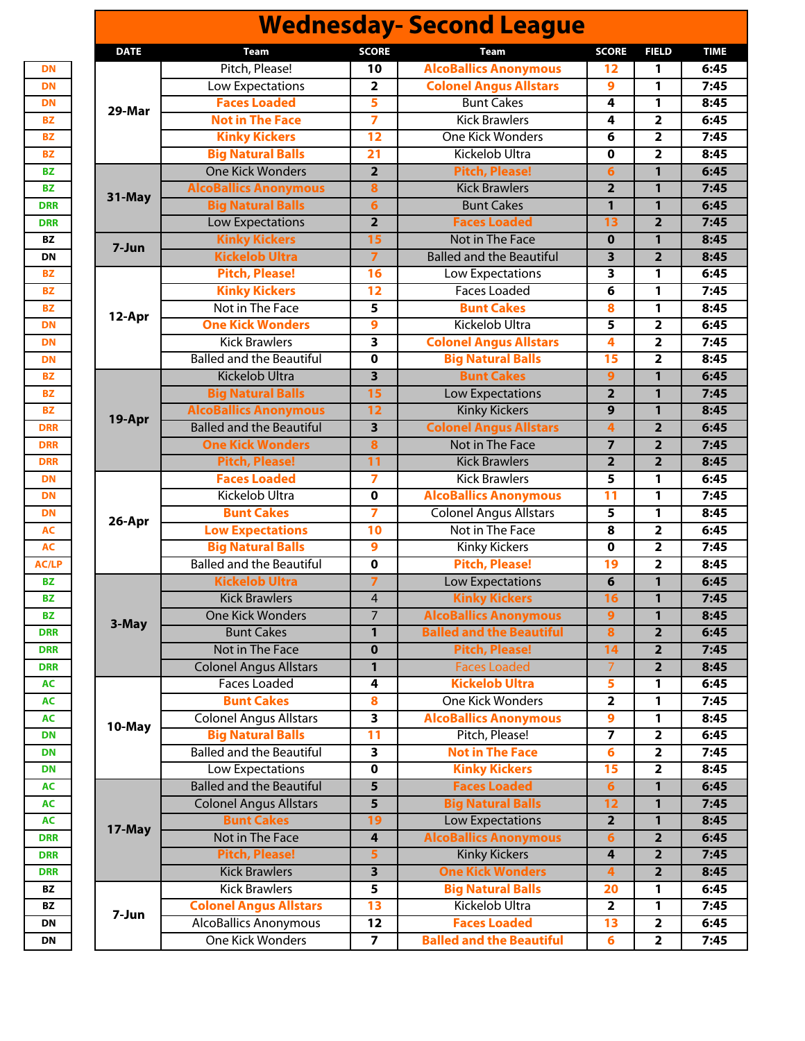|        |                                 |                                              |                              | <b>Wednesday- Second League</b>                 |                         |                                  |             |
|--------|---------------------------------|----------------------------------------------|------------------------------|-------------------------------------------------|-------------------------|----------------------------------|-------------|
|        | <b>DATE</b>                     | <b>Team</b>                                  | <b>SCORE</b>                 | Team                                            | <b>SCORE</b>            | <b>FIELD</b>                     | <b>TIME</b> |
|        |                                 | Pitch, Please!                               | 10                           | <b>AlcoBallics Anonymous</b>                    | 12                      | 1                                | 6:45        |
|        |                                 | Low Expectations                             | $\overline{\mathbf{2}}$      | <b>Colonel Angus Allstars</b>                   | $\overline{9}$          | 1                                | 7:45        |
|        |                                 | <b>Faces Loaded</b>                          | 5                            | <b>Bunt Cakes</b>                               | 4                       | 1                                | 8:45        |
|        | 29-Mar                          | <b>Not in The Face</b>                       | $\overline{z}$               | <b>Kick Brawlers</b>                            | 4                       | $\overline{2}$                   | 6:45        |
|        |                                 | <b>Kinky Kickers</b>                         | $\overline{12}$              | <b>One Kick Wonders</b>                         | 6                       | $\overline{\mathbf{2}}$          | 7:45        |
|        |                                 | <b>Big Natural Balls</b>                     | $\overline{21}$              | <b>Kickelob Ultra</b>                           | $\mathbf 0$             | $\overline{\mathbf{2}}$          | 8:45        |
|        |                                 | <b>One Kick Wonders</b>                      | $\overline{2}$               | <b>Pitch, Please!</b>                           | $6\phantom{1}6$         | $\mathbf{1}$                     | 6:45        |
|        |                                 | <b>AlcoBallics Anonymous</b>                 | 8                            | <b>Kick Brawlers</b>                            | $\overline{2}$          | $\mathbf{1}$                     | 7:45        |
|        | 31-May                          | <b>Big Natural Balls</b>                     | $\boldsymbol{6}$             | <b>Bunt Cakes</b>                               | $\overline{1}$          | 1                                | 6:45        |
|        |                                 | Low Expectations                             | $\overline{2}$               | <b>Faces Loaded</b>                             | 13                      | $\overline{2}$                   | 7:45        |
|        |                                 | <b>Kinky Kickers</b>                         | 15                           | <b>Not in The Face</b>                          | $\overline{\mathbf{0}}$ | $\mathbf{1}$                     | 8:45        |
|        | 7-Jun                           | <b>Kickelob Ultra</b>                        | $\overline{7}$               | <b>Balled and the Beautiful</b>                 | 3                       | $\overline{2}$                   | 8:45        |
|        |                                 | <b>Pitch, Please!</b>                        | $\overline{16}$              | <b>Low Expectations</b>                         | 3                       | $\mathbf{1}$                     | 6:45        |
|        |                                 | <b>Kinky Kickers</b>                         | $\overline{12}$              | <b>Faces Loaded</b>                             | 6                       | 1                                | 7:45        |
|        |                                 | Not in The Face                              | 5                            | <b>Bunt Cakes</b>                               | $\overline{\mathbf{8}}$ | 1                                | 8:45        |
|        | 12-Apr                          | <b>One Kick Wonders</b>                      | 9                            | Kickelob Ultra                                  | 5                       | $\overline{2}$                   | 6:45        |
|        |                                 | <b>Kick Brawlers</b>                         | $\overline{\mathbf{3}}$      | <b>Colonel Angus Allstars</b>                   | $\overline{4}$          | $\overline{2}$                   | 7:45        |
|        |                                 | <b>Balled and the Beautiful</b>              | 0                            | <b>Big Natural Balls</b>                        | 15                      | $\overline{\mathbf{2}}$          | 8:45        |
|        |                                 | <b>Kickelob Ultra</b>                        | $\overline{\mathbf{3}}$      | <b>Bunt Cakes</b>                               | 9                       | $\mathbf{1}$                     | 6:45        |
|        |                                 | <b>Big Natural Balls</b>                     | 15                           | <b>Low Expectations</b>                         | $\overline{2}$          | $\mathbf{1}$                     | 7:45        |
|        |                                 | <b>AlcoBallics Anonymous</b>                 | 12                           | <b>Kinky Kickers</b>                            | $\overline{9}$          | 1                                | 8:45        |
|        | 19-Apr                          | <b>Balled and the Beautiful</b>              | $\overline{\mathbf{3}}$      | <b>Colonel Angus Allstars</b>                   | $\overline{\mathbf{4}}$ | $\overline{2}$                   | 6:45        |
|        |                                 | <b>One Kick Wonders</b>                      | $\overline{\mathbf{8}}$      | <b>Not in The Face</b>                          | $\overline{7}$          | $\overline{2}$                   | 7:45        |
|        |                                 | <b>Pitch, Please!</b>                        | $\overline{11}$              | <b>Kick Brawlers</b>                            | $\overline{2}$          | $\overline{2}$                   | 8:45        |
|        |                                 | <b>Faces Loaded</b>                          | 7                            | <b>Kick Brawlers</b>                            | 5                       | 1                                | 6:45        |
|        |                                 | Kickelob Ultra                               | 0                            | <b>AlcoBallics Anonymous</b>                    | $\overline{11}$         | 1                                | 7:45        |
|        |                                 | <b>Bunt Cakes</b>                            | 7                            | <b>Colonel Angus Allstars</b>                   | 5                       | 1                                | 8:45        |
|        |                                 | <b>Low Expectations</b>                      | 10                           | Not in The Face                                 | 8                       | 2                                | 6:45        |
| 26-Apr | <b>Big Natural Balls</b>        | $\overline{9}$                               | <b>Kinky Kickers</b>         | $\mathbf 0$                                     | $\overline{2}$          | 7:45                             |             |
|        | <b>Balled and the Beautiful</b> | 0                                            | <b>Pitch, Please!</b>        | 19                                              | $\overline{\mathbf{2}}$ | 8:45                             |             |
|        |                                 | <b>Kickelob Ultra</b>                        | $\overline{\mathbf{z}}$      | <b>Low Expectations</b>                         | 6                       | 1                                | 6:45        |
|        |                                 | <b>Kick Brawlers</b>                         | $\overline{4}$               | <b>Kinky Kickers</b>                            | 16                      | $\mathbf{1}$                     | 7:45        |
|        |                                 | <b>One Kick Wonders</b>                      | $\overline{7}$               | <b>AlcoBallics Anonymous</b>                    | 9                       | $\mathbf{1}$                     | 8:45        |
|        | 3-May                           | <b>Bunt Cakes</b>                            | 1                            | <b>Balled and the Beautiful</b>                 | 8                       | $\overline{\mathbf{2}}$          | 6:45        |
|        |                                 | <b>Not in The Face</b>                       | $\mathbf{0}$                 | <b>Pitch, Please!</b>                           | $\overline{14}$         | $\overline{2}$                   | 7:45        |
|        |                                 | <b>Colonel Angus Allstars</b>                | 1                            | <b>Faces Loaded</b>                             | $\overline{7}$          | $\overline{2}$                   | 8:45        |
|        |                                 | <b>Faces Loaded</b>                          | 4                            | <b>Kickelob Ultra</b>                           | 5                       | 1                                | 6:45        |
|        |                                 | <b>Bunt Cakes</b>                            | 8                            | One Kick Wonders                                | $\overline{2}$          | 1                                | 7:45        |
|        |                                 | <b>Colonel Angus Allstars</b>                | $\overline{\mathbf{3}}$      | <b>AlcoBallics Anonymous</b>                    | $\boldsymbol{9}$        | 1                                | 8:45        |
|        | 10-May                          | <b>Big Natural Balls</b>                     | $\overline{11}$              | Pitch, Please!                                  |                         | 2                                | 6:45        |
|        |                                 | <b>Balled and the Beautiful</b>              | $\overline{\mathbf{3}}$      | <b>Not in The Face</b>                          | $6\overline{6}$         | $\overline{\mathbf{2}}$          | 7:45        |
|        |                                 | Low Expectations                             | 0                            | <b>Kinky Kickers</b>                            | 15                      | $\overline{\mathbf{2}}$          | 8:45        |
|        |                                 | <b>Balled and the Beautiful</b>              | $\overline{\mathbf{5}}$      | <b>Faces Loaded</b>                             | $\overline{6}$          | $\mathbf{1}$                     | 6:45        |
|        |                                 | <b>Colonel Angus Allstars</b>                | $\overline{\mathbf{5}}$      | <b>Big Natural Balls</b>                        | $\overline{12}$         | $\mathbf{1}$                     | 7:45        |
|        |                                 | <b>Bunt Cakes</b>                            | 19                           | <b>Low Expectations</b>                         | $\overline{2}$          | $\mathbf{1}$                     | 8:45        |
|        | 17-May                          | <b>Not in The Face</b>                       | 4                            | <b>AlcoBallics Anonymous</b>                    |                         | $\overline{\mathbf{2}}$          | 6:45        |
|        |                                 |                                              |                              |                                                 | 6<br>$\overline{4}$     |                                  | 7:45        |
|        |                                 | <b>Pitch, Please!</b>                        | 5<br>$\overline{\mathbf{3}}$ | <b>Kinky Kickers</b><br><b>One Kick Wonders</b> | $\overline{\mathbf{4}}$ | $\overline{2}$<br>$\overline{2}$ |             |
|        |                                 | <b>Kick Brawlers</b><br><b>Kick Brawlers</b> | $\overline{\mathbf{5}}$      | <b>Big Natural Balls</b>                        | 20                      | 1                                | 8:45        |
|        |                                 | <b>Colonel Angus Allstars</b>                | $\overline{13}$              | Kickelob Ultra                                  |                         |                                  | 6:45        |
|        | 7-Jun                           |                                              |                              |                                                 | $\overline{\mathbf{2}}$ | 1                                | 7:45        |
|        |                                 | <b>AlcoBallics Anonymous</b>                 | 12                           | <b>Faces Loaded</b>                             | 13                      | $\overline{2}$                   | 6:45        |
|        |                                 | <b>One Kick Wonders</b>                      | $\overline{7}$               | <b>Balled and the Beautiful</b>                 | 6                       | $\overline{2}$                   | 7:45        |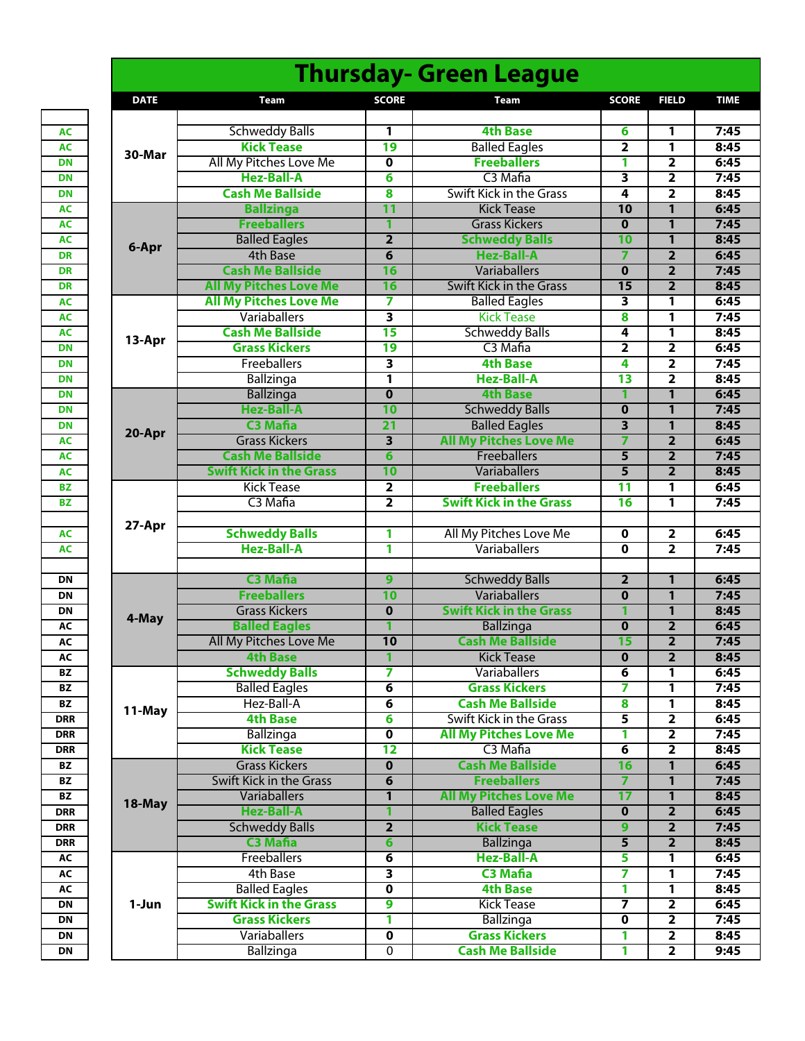|                 |             |                                            |                         | <b>Thursday- Green League</b>           |                              |                                           |              |
|-----------------|-------------|--------------------------------------------|-------------------------|-----------------------------------------|------------------------------|-------------------------------------------|--------------|
|                 | <b>DATE</b> | <b>Team</b>                                | <b>SCORE</b>            | Team                                    | <b>SCORE</b>                 | <b>FIELD</b>                              | <b>TIME</b>  |
|                 |             |                                            |                         |                                         |                              |                                           |              |
| <b>AC</b>       |             | <b>Schweddy Balls</b>                      | 1                       | <b>4th Base</b>                         | 6                            | 1                                         | 7:45         |
| <b>AC</b>       | 30-Mar      | <b>Kick Tease</b>                          | 19                      | <b>Balled Eagles</b>                    | $\overline{\mathbf{2}}$      | 1                                         | 8:45         |
| <b>DN</b>       |             | All My Pitches Love Me                     | 0                       | <b>Freeballers</b>                      | 1                            | $\overline{\mathbf{2}}$                   | 6:45         |
| <b>DN</b>       |             | <b>Hez-Ball-A</b>                          | 6                       | C <sub>3</sub> Mafia                    | $\overline{\mathbf{3}}$      | $\overline{\mathbf{2}}$                   | 7:45         |
| <b>DN</b>       |             | <b>Cash Me Ballside</b>                    | 8                       | <b>Swift Kick in the Grass</b>          | 4                            | $\overline{\mathbf{2}}$                   | 8:45         |
| <b>AC</b>       |             | <b>Ballzinga</b>                           | $\overline{11}$         | <b>Kick Tease</b>                       | 10                           | $\overline{1}$                            | 6:45         |
| <b>AC</b>       |             | <b>Freeballers</b>                         | 1                       | <b>Grass Kickers</b>                    | $\mathbf 0$                  | 1                                         | 7:45         |
| <b>AC</b>       | 6-Apr       | <b>Balled Eagles</b>                       | $\overline{\mathbf{2}}$ | <b>Schweddy Balls</b>                   | 10                           | $\overline{\mathbf{1}}$                   | 8:45         |
| DR              |             | 4th Base                                   | $\overline{\mathbf{6}}$ | <b>Hez-Ball-A</b>                       | 7                            | $\overline{2}$                            | 6:45         |
| <b>DR</b>       |             | <b>Cash Me Ballside</b>                    | 16                      | Variaballers                            | $\bf{0}$                     | $\overline{2}$                            | 7:45         |
| <b>DR</b>       |             | <b>All My Pitches Love Me</b>              | 16                      | <b>Swift Kick in the Grass</b>          | 15                           | $\overline{2}$                            | 8:45         |
| <b>AC</b>       |             | <b>All My Pitches Love Me</b>              | 7                       | <b>Balled Eagles</b>                    | 3                            | 1                                         | 6:45         |
| <b>AC</b>       |             | Variaballers                               | 3                       | <b>Kick Tease</b>                       | 8                            | 1                                         | 7:45         |
| <b>AC</b>       | 13-Apr      | <b>Cash Me Ballside</b>                    | $\overline{15}$         | <b>Schweddy Balls</b>                   | 4                            | 1                                         | 8:45         |
| <b>DN</b><br>DN |             | <b>Grass Kickers</b><br><b>Freeballers</b> | 19                      | C <sub>3</sub> Mafia<br><b>4th Base</b> | $\overline{\mathbf{2}}$<br>4 | $\overline{\mathbf{2}}$                   | 6:45<br>7:45 |
| <b>DN</b>       |             |                                            | $\overline{\mathbf{3}}$ | <b>Hez-Ball-A</b>                       | $\overline{13}$              | $\overline{\mathbf{2}}$                   |              |
| <b>DN</b>       |             | <b>Ballzinga</b><br><b>Ballzinga</b>       | 1<br>$\mathbf 0$        | <b>4th Base</b>                         | 1                            | $\overline{\mathbf{2}}$<br>$\overline{1}$ | 8:45<br>6:45 |
| DN              |             | <b>Hez-Ball-A</b>                          | 10                      | <b>Schweddy Balls</b>                   | $\mathbf 0$                  | $\overline{\mathbf{1}}$                   | 7:45         |
| DN              |             | <b>C3 Mafia</b>                            | $\overline{21}$         | <b>Balled Eagles</b>                    | $\overline{\mathbf{3}}$      | 1                                         | 8:45         |
| <b>AC</b>       | 20-Apr      | <b>Grass Kickers</b>                       | 3                       | <b>All My Pitches Love Me</b>           | 7                            | $\overline{\mathbf{2}}$                   | 6:45         |
| <b>AC</b>       |             | <b>Cash Me Ballside</b>                    | 6                       | Freeballers                             | 5                            | $\overline{\mathbf{2}}$                   | 7:45         |
| AC              |             | <b>Swift Kick in the Grass</b>             | 10                      | <b>Variaballers</b>                     | $\overline{\mathbf{5}}$      | $\overline{\mathbf{2}}$                   | 8:45         |
| <b>BZ</b>       |             | <b>Kick Tease</b>                          | $\overline{\mathbf{2}}$ | <b>Freeballers</b>                      | $\overline{11}$              | 1                                         | 6:45         |
| <b>BZ</b>       |             | C3 Mafia                                   | $\overline{\mathbf{2}}$ | <b>Swift Kick in the Grass</b>          | $\overline{16}$              | 1                                         | 7:45         |
|                 |             |                                            |                         |                                         |                              |                                           |              |
| <b>AC</b>       | 27-Apr      | <b>Schweddy Balls</b>                      | 1                       | All My Pitches Love Me                  | 0                            | 2                                         | 6:45         |
| <b>AC</b>       |             | <b>Hez-Ball-A</b>                          | 1                       | Variaballers                            | 0                            | $\overline{\mathbf{2}}$                   | 7:45         |
|                 |             |                                            |                         |                                         |                              |                                           |              |
| <b>DN</b>       |             | <b>C3 Mafia</b>                            | $\overline{9}$          | <b>Schweddy Balls</b>                   | $\overline{2}$               | 1                                         | 6:45         |
| <b>DN</b>       |             | <b>Freeballers</b>                         | 10                      | Variaballers                            | $\mathbf 0$                  | $\mathbf{1}$                              | 7:45         |
| <b>DN</b>       |             | <b>Grass Kickers</b>                       | $\mathbf 0$             | <b>Swift Kick in the Grass</b>          | 1                            | 1                                         | 8:45         |
| AC              | 4-May       | <b>Balled Eagles</b>                       | 1                       | <b>Ballzinga</b>                        | $\overline{\mathbf{0}}$      | $\overline{\mathbf{2}}$                   | 6:45         |
| AC              |             | All My Pitches Love Me                     | 10                      | <b>Cash Me Ballside</b>                 | 15                           | $\overline{\mathbf{2}}$                   | 7:45         |
| AC              |             | <b>4th Base</b>                            |                         | <b>Kick Tease</b>                       | 0                            | 2                                         | 8:45         |
| <b>BZ</b>       |             | <b>Schweddy Balls</b>                      | 7                       | Variaballers                            | 6                            | 1                                         | 6:45         |
| <b>BZ</b>       |             | <b>Balled Eagles</b>                       | 6                       | <b>Grass Kickers</b>                    | 7                            | 1                                         | 7:45         |
| BZ              | 11-May      | Hez-Ball-A                                 | 6                       | <b>Cash Me Ballside</b>                 | 8                            | 1                                         | 8:45         |
| <b>DRR</b>      |             | <b>4th Base</b>                            | 6                       | Swift Kick in the Grass                 | 5                            | $\overline{2}$                            | 6:45         |
| <b>DRR</b>      |             | <b>Ballzinga</b>                           | 0                       | <b>All My Pitches Love Me</b>           | 1                            | 2                                         | 7:45         |
| DRR             |             | <b>Kick Tease</b>                          | 12                      | C <sub>3</sub> Mafia                    | $6\overline{6}$              | $\overline{2}$                            | 8:45         |
| BZ              |             | <b>Grass Kickers</b>                       | $\bf{0}$                | <b>Cash Me Ballside</b>                 | 16                           | $\mathbf{1}$                              | 6:45         |
| BZ              |             | Swift Kick in the Grass                    | 6                       | <b>Freeballers</b>                      | 7                            | 1                                         | 7:45         |
| BZ              | 18-May      | <b>Variaballers</b>                        | 1                       | <b>All My Pitches Love Me</b>           | $\overline{17}$              | $\mathbf{1}$                              | 8:45         |
| DRR             |             | <b>Hez-Ball-A</b>                          | 1                       | <b>Balled Eagles</b>                    | $\mathbf 0$                  | $\overline{2}$                            | 6:45         |
| DRR             |             | <b>Schweddy Balls</b>                      | $\overline{2}$          | <b>Kick Tease</b>                       | 9                            | $\overline{\mathbf{2}}$                   | 7:45         |
| DRR             |             | <b>C3 Mafia</b>                            | 6                       | Ballzinga                               | 5                            | $\overline{\mathbf{2}}$                   | 8:45         |
| AC              |             | Freeballers                                | 6                       | <b>Hez-Ball-A</b>                       | 5                            | 1                                         | 6:45         |
| AC              |             | 4th Base                                   | 3                       | <b>C3 Mafia</b>                         | 7                            | 1                                         | 7:45         |
| AC              |             | <b>Balled Eagles</b>                       | 0                       | <b>4th Base</b>                         | 1                            | 1                                         | 8:45         |
| DN              | 1-Jun       | <b>Swift Kick in the Grass</b>             | 9                       | <b>Kick Tease</b>                       | 7                            | $\overline{2}$                            | 6:45         |
| <b>DN</b>       |             | <b>Grass Kickers</b>                       | 1                       | Ballzinga                               | 0                            | 2                                         | 7:45         |
| <b>DN</b>       |             | <b>Variaballers</b>                        | 0                       | <b>Grass Kickers</b>                    | 1                            | $\overline{\mathbf{2}}$                   | 8:45         |
| <b>DN</b>       |             | Ballzinga                                  | $\mathbf 0$             | <b>Cash Me Ballside</b>                 | 1                            | $\overline{2}$                            | 9:45         |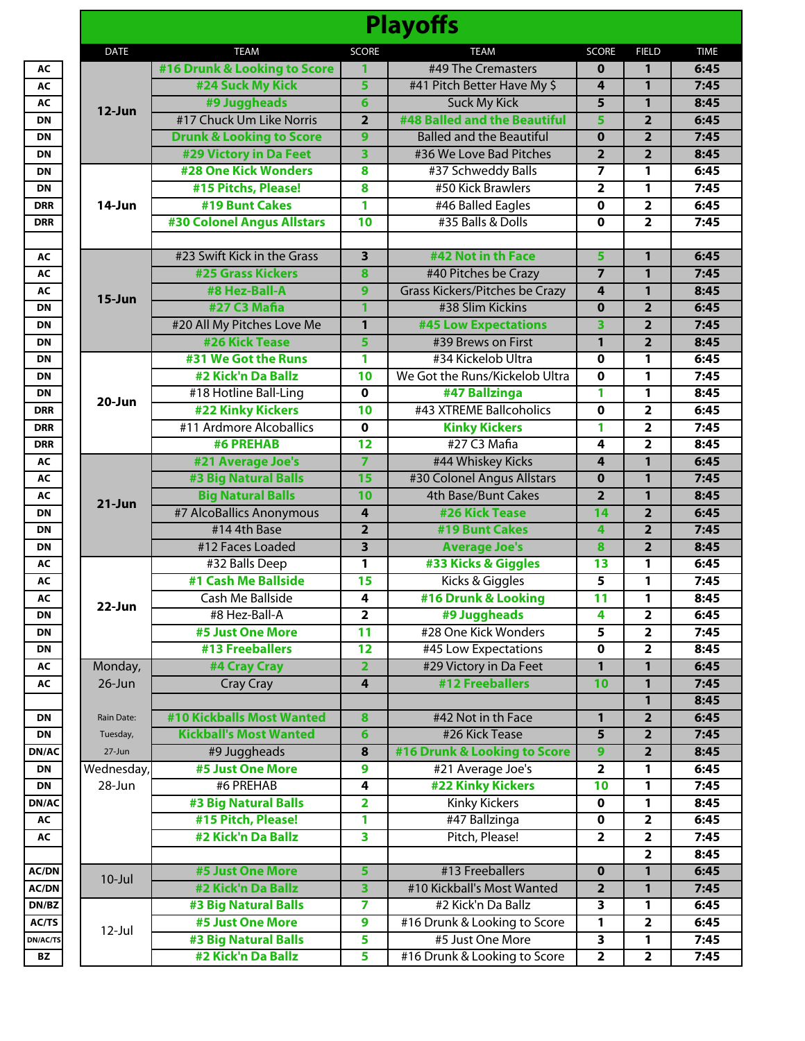|                 |                   |                                             |                                            | <b>Playoffs</b>                                 |                         |                                  |              |
|-----------------|-------------------|---------------------------------------------|--------------------------------------------|-------------------------------------------------|-------------------------|----------------------------------|--------------|
|                 | <b>DATE</b>       | <b>TEAM</b>                                 | <b>SCORE</b>                               | <b>TEAM</b>                                     | <b>SCORE</b>            | <b>FIELD</b>                     | <b>TIME</b>  |
| AC              |                   | #16 Drunk & Looking to Score                | 1                                          | #49 The Cremasters                              | $\bf{0}$                | $\mathbf{1}$                     | 6:45         |
| AC              |                   | #24 Suck My Kick                            | 5                                          | #41 Pitch Better Have My \$                     | 4                       | $\mathbf{1}$                     | 7:45         |
| AC              | $12$ -Jun         | #9 Juggheads                                | $6\phantom{1}$                             | <b>Suck My Kick</b>                             | 5                       | $\mathbf{1}$                     | 8:45         |
| <b>DN</b>       |                   | #17 Chuck Um Like Norris                    | $\overline{2}$                             | #48 Balled and the Beautiful                    | 5                       | $\overline{2}$                   | 6:45         |
| <b>DN</b>       |                   | <b>Drunk &amp; Looking to Score</b>         | 9                                          | <b>Balled and the Beautiful</b>                 | $\overline{\mathbf{0}}$ | $\overline{2}$                   | 7:45         |
| <b>DN</b>       |                   | #29 Victory in Da Feet                      | 3                                          | #36 We Love Bad Pitches                         | $\overline{2}$          | $\overline{2}$                   | 8:45         |
| <b>DN</b>       |                   | <b>#28 One Kick Wonders</b>                 | 8                                          | #37 Schweddy Balls                              | $\overline{7}$          | 1                                | 6:45         |
| <b>DN</b>       |                   | #15 Pitchs, Please!                         | 8                                          | #50 Kick Brawlers                               | $\overline{\mathbf{2}}$ | 1                                | 7:45         |
| <b>DRR</b>      | 14-Jun            | #19 Bunt Cakes                              | 1                                          | #46 Balled Eagles                               | 0                       | $\overline{2}$                   | 6:45         |
| <b>DRR</b>      |                   | <b>#30 Colonel Angus Allstars</b>           | $\overline{10}$                            | #35 Balls & Dolls                               | $\mathbf 0$             | $\overline{2}$                   | 7:45         |
|                 |                   |                                             |                                            |                                                 |                         |                                  |              |
| AC              |                   | #23 Swift Kick in the Grass                 | $\overline{\mathbf{3}}$                    | #42 Not in th Face                              | 5                       | $\mathbf{1}$                     | 6:45         |
| AC              |                   | <b>#25 Grass Kickers</b>                    | 8                                          | #40 Pitches be Crazy                            | $\overline{7}$          | $\mathbf{1}$                     | 7:45         |
| AC              | $15 - Jun$        | #8 Hez-Ball-A                               | 9                                          | <b>Grass Kickers/Pitches be Crazy</b>           | 4                       | $\mathbf{1}$                     | 8:45         |
| <b>DN</b>       |                   | #27 C3 Mafia                                | 1                                          | #38 Slim Kickins                                | $\mathbf{0}$            | $\overline{2}$                   | 6:45         |
| <b>DN</b>       |                   | #20 All My Pitches Love Me                  | $\mathbf{1}$                               | <b>#45 Low Expectations</b>                     | 3                       | $\overline{2}$                   | 7:45         |
| <b>DN</b>       |                   | #26 Kick Tease                              | 5                                          | #39 Brews on First                              | $\mathbf{1}$            | $\overline{2}$                   | 8:45         |
| <b>DN</b>       |                   | #31 We Got the Runs                         | 1                                          | #34 Kickelob Ultra                              | 0                       | 1                                | 6:45         |
| <b>DN</b>       |                   | #2 Kick'n Da Ballz                          | 10                                         | We Got the Runs/Kickelob Ultra                  | $\mathbf 0$             | 1                                | 7:45         |
| DN              | 20-Jun            | #18 Hotline Ball-Ling                       | $\mathbf 0$                                | #47 Ballzinga                                   | 1                       | 1                                | 8:45         |
| <b>DRR</b>      |                   | <b>#22 Kinky Kickers</b>                    | $\overline{10}$                            | #43 XTREME Ballcoholics                         | 0                       | $\overline{\mathbf{2}}$          | 6:45         |
| <b>DRR</b>      |                   | #11 Ardmore Alcoballics<br><b>#6 PREHAB</b> | $\overline{\mathbf{0}}$<br>$\overline{12}$ | <b>Kinky Kickers</b><br>#27 C3 Mafia            | 1<br>4                  | $\overline{2}$<br>$\overline{2}$ | 7:45         |
| <b>DRR</b>      |                   |                                             | $\overline{7}$                             |                                                 | 4                       | $\mathbf{1}$                     | 8:45<br>6:45 |
| AC<br>AC        |                   | #21 Average Joe's<br>#3 Big Natural Balls   | 15                                         | #44 Whiskey Kicks<br>#30 Colonel Angus Allstars | $\mathbf 0$             | $\mathbf{1}$                     | 7:45         |
| AC              |                   | <b>Big Natural Balls</b>                    | 10                                         | 4th Base/Bunt Cakes                             | $\overline{2}$          | $\mathbf{1}$                     | 8:45         |
| <b>DN</b>       | $21-Jun$          | #7 AlcoBallics Anonymous                    | 4                                          | #26 Kick Tease                                  | 14                      | $\overline{2}$                   | 6:45         |
| <b>DN</b>       |                   | #14 4th Base                                | $\overline{\mathbf{2}}$                    | #19 Bunt Cakes                                  | 4                       | $\overline{2}$                   | 7:45         |
| <b>DN</b>       |                   | #12 Faces Loaded                            | $\overline{\mathbf{3}}$                    | <b>Average Joe's</b>                            | 8                       | $\overline{2}$                   | 8:45         |
| AC              |                   | #32 Balls Deep                              | 1                                          | #33 Kicks & Giggles                             | 13                      | 1                                | 6:45         |
| AC              |                   | #1 Cash Me Ballside                         | 15                                         | Kicks & Giggles                                 | 5                       | 1                                | 7:45         |
| AC              |                   | Cash Me Ballside                            | 4                                          | #16 Drunk & Looking                             | 11                      | 1                                | 8:45         |
| <b>DN</b>       | 22-Jun            | #8 Hez-Ball-A                               | $\overline{2}$                             | #9 Juggheads                                    | 4                       | $\overline{\mathbf{2}}$          | 6:45         |
| <b>DN</b>       |                   | #5 Just One More                            | $\overline{11}$                            | #28 One Kick Wonders                            | 5                       | $\mathbf{2}$                     | 7:45         |
| DN              |                   | #13 Freeballers                             | 12                                         | #45 Low Expectations                            | $\mathbf 0$             | $\overline{2}$                   | 8:45         |
| AC              | Monday,           | #4 Cray Cray                                | $\overline{\mathbf{2}}$                    | #29 Victory in Da Feet                          | $\mathbf{1}$            | $\mathbf{1}$                     | 6:45         |
| AC              | $26$ -Jun         | <b>Cray Cray</b>                            | $\overline{\mathbf{4}}$                    | #12 Freeballers                                 | 10                      | $\mathbf{1}$                     | 7:45         |
|                 |                   |                                             |                                            |                                                 |                         | 1                                | 8:45         |
| DN              | <b>Rain Date:</b> | #10 Kickballs Most Wanted                   | 8                                          | #42 Not in th Face                              | 1                       | $\overline{\mathbf{2}}$          | 6:45         |
| DN              | Tuesday,          | <b>Kickball's Most Wanted</b>               | 6                                          | #26 Kick Tease                                  | $\overline{5}$          | $\overline{2}$                   | 7:45         |
| DN/AC           | 27-Jun            | #9 Juggheads                                | $\overline{\mathbf{8}}$                    | #16 Drunk & Looking to Score                    | $\overline{9}$          | $\overline{2}$                   | 8:45         |
| DN              | Wednesday,        | #5 Just One More                            | $\boldsymbol{9}$                           | #21 Average Joe's                               | $\overline{\mathbf{2}}$ | 1                                | 6:45         |
| DN              | 28-Jun            | #6 PREHAB                                   | 4                                          | <b>#22 Kinky Kickers</b>                        | 10                      | 1                                | 7:45         |
| DN/AC           |                   | <b>#3 Big Natural Balls</b>                 | $\overline{\mathbf{2}}$                    | <b>Kinky Kickers</b>                            | $\pmb{0}$               | 1                                | 8:45         |
| AC              |                   | #15 Pitch, Please!                          | 1                                          | #47 Ballzinga                                   | $\mathbf 0$             | $\overline{\mathbf{2}}$          | 6:45         |
| AC              |                   | #2 Kick'n Da Ballz                          | 3                                          | Pitch, Please!                                  | $\overline{\mathbf{2}}$ | $\overline{2}$                   | 7:45         |
|                 |                   |                                             |                                            |                                                 |                         | $\overline{2}$                   | 8:45         |
| <b>AC/DN</b>    | $10 -$ Jul        | #5 Just One More                            | 5                                          | #13 Freeballers                                 | $\mathbf{0}$            | $\mathbf{1}$                     | 6:45         |
| <b>AC/DN</b>    |                   | #2 Kick'n Da Ballz                          | 3                                          | #10 Kickball's Most Wanted                      | $\overline{2}$          | $\mathbf{1}$                     | 7:45         |
| DN/ BZ          |                   | #3 Big Natural Balls                        | 7                                          | #2 Kick'n Da Ballz                              | 3                       | 1                                | 6:45         |
| AC/TS           | $12$ -Jul         | #5 Just One More                            | $\overline{9}$                             | #16 Drunk & Looking to Score                    | 1                       | $\overline{\mathbf{2}}$          | 6:45         |
| <b>DN/AC/TS</b> |                   | #3 Big Natural Balls                        | 5                                          | #5 Just One More                                | $\overline{\mathbf{3}}$ | 1                                | 7:45         |
| BZ              |                   | #2 Kick'n Da Ballz                          | 5                                          | #16 Drunk & Looking to Score                    | $\overline{2}$          | $\overline{2}$                   | 7:45         |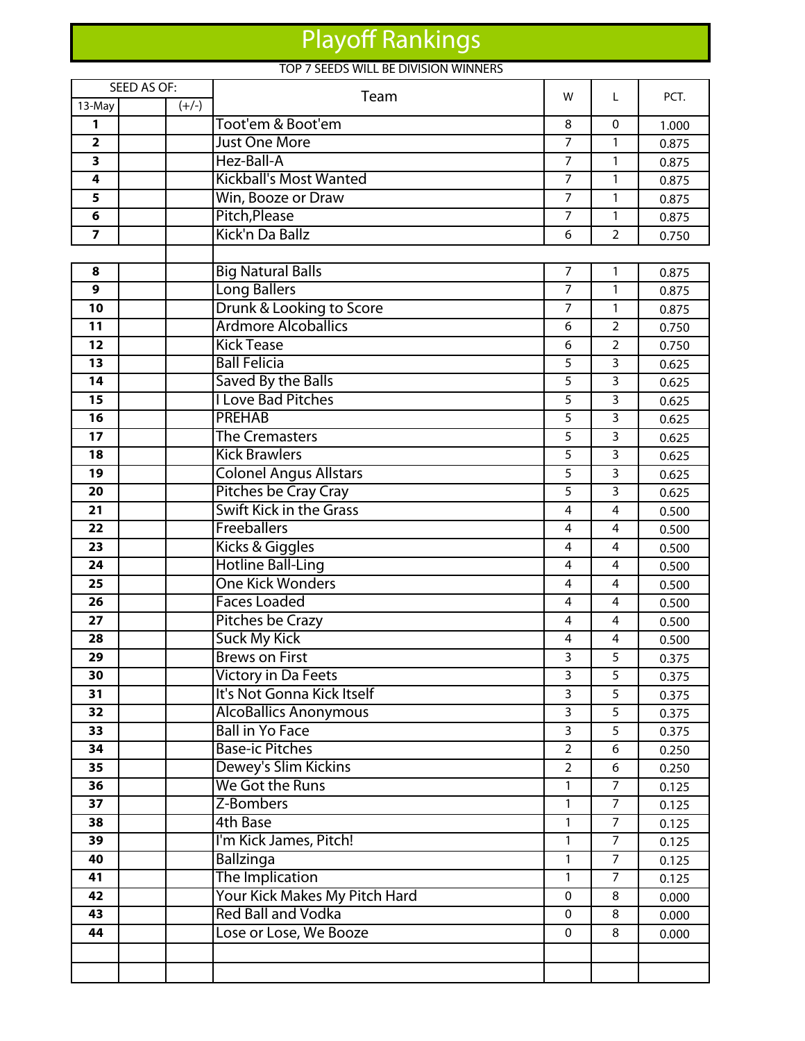## Playoff Rankings

## TOP 7 SEEDS WILL BE DIVISION WINNERS

| <b>SEED AS OF:</b>      |         | Team                                                       |                   | L                       | PCT.  |
|-------------------------|---------|------------------------------------------------------------|-------------------|-------------------------|-------|
| 13-May                  | $(+/-)$ |                                                            | w                 |                         |       |
| 1                       |         | Toot'em & Boot'em                                          | 8                 | $\mathbf{0}$            | 1.000 |
| $\overline{\mathbf{2}}$ |         | <b>Just One More</b>                                       | $\overline{7}$    | $\mathbf{1}$            | 0.875 |
| 3                       |         | Hez-Ball-A                                                 | $\overline{7}$    | 1                       | 0.875 |
| 4                       |         | <b>Kickball's Most Wanted</b>                              | $\overline{7}$    | $\mathbf{1}$            | 0.875 |
| 5                       |         | Win, Booze or Draw                                         | $\overline{7}$    | $\mathbf{1}$            | 0.875 |
| 6                       |         | Pitch, Please                                              | $\overline{7}$    | 1                       | 0.875 |
| $\overline{7}$          |         | Kick'n Da Ballz                                            | 6                 | $\overline{2}$          | 0.750 |
|                         |         |                                                            |                   |                         |       |
| 8                       |         | <b>Big Natural Balls</b>                                   | $\overline{7}$    | 1                       | 0.875 |
| 9                       |         | <b>Long Ballers</b>                                        | $\overline{7}$    | $\mathbf{1}$            | 0.875 |
| 10                      |         | Drunk & Looking to Score                                   | $\overline{7}$    | $\mathbf{1}$            | 0.875 |
| 11                      |         | <b>Ardmore Alcoballics</b>                                 | 6                 | $\overline{2}$          | 0.750 |
| $\overline{12}$         |         | <b>Kick Tease</b>                                          | 6                 | $\overline{2}$          | 0.750 |
| 13                      |         | <b>Ball Felicia</b>                                        | 5                 | 3                       | 0.625 |
| 14                      |         | Saved By the Balls                                         | 5                 | 3                       | 0.625 |
| 15                      |         | <b>I Love Bad Pitches</b>                                  | 5                 | $\overline{3}$          | 0.625 |
| 16                      |         | <b>PREHAB</b>                                              | 5                 | 3                       | 0.625 |
| 17                      |         | <b>The Cremasters</b>                                      | 5                 | 3                       | 0.625 |
| 18                      |         | <b>Kick Brawlers</b>                                       | 5                 | 3                       | 0.625 |
| 19                      |         | <b>Colonel Angus Allstars</b>                              | 5                 | 3                       | 0.625 |
| 20                      |         | Pitches be Cray Cray                                       | 5                 | 3                       | 0.625 |
| 21                      |         | <b>Swift Kick in the Grass</b>                             | 4                 | 4                       | 0.500 |
| 22                      |         | Freeballers                                                | 4                 | $\overline{4}$          | 0.500 |
| 23                      |         | Kicks & Giggles                                            | 4                 | 4                       | 0.500 |
| 24                      |         | <b>Hotline Ball-Ling</b>                                   | 4                 | $\overline{4}$          | 0.500 |
| 25                      |         | <b>One Kick Wonders</b>                                    | 4                 | $\overline{\mathbf{4}}$ | 0.500 |
| 26                      |         | <b>Faces Loaded</b>                                        | 4                 | 4                       | 0.500 |
| $\overline{27}$         |         | <b>Pitches be Crazy</b>                                    | 4                 | 4                       | 0.500 |
| 28                      |         | <b>Suck My Kick</b>                                        | 4                 | 4                       | 0.500 |
| 29                      |         | <b>Brews on First</b>                                      | 3                 | 5                       | 0.375 |
| 30                      |         | <b>Victory in Da Feets</b>                                 | 3                 | 5                       | 0.375 |
| 31                      |         | It's Not Gonna Kick Itself                                 | 3                 | 5                       | 0.375 |
| 32                      |         | <b>AlcoBallics Anonymous</b>                               | 3                 | 5                       | 0.375 |
| $\overline{33}$         |         | <b>Ball in Yo Face</b>                                     | $\overline{3}$    | 5                       | 0.375 |
| 34                      |         | <b>Base-ic Pitches</b>                                     | $\overline{2}$    | 6                       | 0.250 |
| 35<br>36                |         | Dewey's Slim Kickins<br>We Got the Runs                    | $\overline{2}$    | 6<br>$\overline{7}$     | 0.250 |
| 37                      |         | Z-Bombers                                                  | 1<br>$\mathbf{1}$ | $\overline{7}$          | 0.125 |
|                         |         |                                                            |                   |                         | 0.125 |
| 38                      |         | <b>4th Base</b>                                            | 1                 | 7                       | 0.125 |
| 39                      |         | I'm Kick James, Pitch!                                     | 1                 | $\overline{7}$          | 0.125 |
| 40                      |         | Ballzinga                                                  | 1                 | $\overline{7}$          | 0.125 |
| 41                      |         | The Implication                                            | 1                 | $\overline{7}$          | 0.125 |
| 42                      |         | Your Kick Makes My Pitch Hard<br><b>Red Ball and Vodka</b> | 0                 | 8                       | 0.000 |
| 43<br>44                |         |                                                            | 0                 | 8                       | 0.000 |
|                         |         | Lose or Lose, We Booze                                     | $\Omega$          | 8                       | 0.000 |
|                         |         |                                                            |                   |                         |       |
|                         |         |                                                            |                   |                         |       |